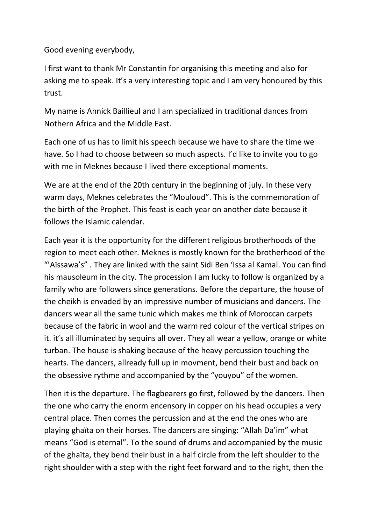Good evening everybody,

I first want to thank Mr Constantin for organising this meeting and also for asking me to speak. It's a very interesting topic and I am very honoured by this trust.

My name is Annick Baillieul and I am specialized in traditional dances from Nothern Africa and the Middle East.

Each one of us has to limit his speech because we have to share the time we have. So I had to choose between so much aspects. I'd like to invite you to go with me in Meknes because I lived there exceptional moments.

We are at the end of the 20th century in the beginning of july. In these very warm days, Meknes celebrates the "Mouloud". This is the commemoration of the birth of the Prophet. This feast is each year on another date because it follows the Islamic calendar.

Each year it is the opportunity for the different religious brotherhoods of the region to meet each other. Meknes is mostly known for the brotherhood of the "'Aïssawa's" . They are linked with the saint Sidi Ben 'Issa al Kamal. You can find his mausoleum in the city. The procession I am lucky to follow is organized by a family who are followers since generations. Before the departure, the house of the cheikh is envaded by an impressive number of musicians and dancers. The dancers wear all the same tunic which makes me think of Moroccan carpets because of the fabric in wool and the warm red colour of the vertical stripes on it. it's all illuminated by sequins all over. They all wear a yellow, orange or white turban. The house is shaking because of the heavy percussion touching the hearts. The dancers, allready full up in movment, bend their bust and back on the obsessive rythme and accompanied by the "youyou" of the women.

Then it is the departure. The flagbearers go first, followed by the dancers. Then the one who carry the enorm encensory in copper on his head occupies a very central place. Then comes the percussion and at the end the ones who are playing ghaïta on their horses. The dancers are singing: "Allah Da'im" what means "God is eternal". To the sound of drums and accompanied by the music of the ghaïta, they bend their bust in a half circle from the left shoulder to the right shoulder with a step with the right feet forward and to the right, then the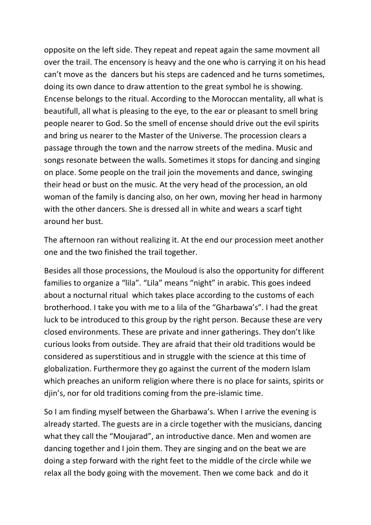opposite on the left side. They repeat and repeat again the same movment all over the trail. The encensory is heavy and the one who is carrying it on his head can't move as the dancers but his steps are cadenced and he turns sometimes, doing its own dance to draw attention to the great symbol he is showing. Encense belongs to the ritual. According to the Moroccan mentality, all what is beautifull, all what is pleasing to the eye, to the ear or pleasant to smell bring people nearer to God. So the smell of encense should drive out the evil spirits and bring us nearer to the Master of the Universe. The procession clears a passage through the town and the narrow streets of the medina. Music and songs resonate between the walls. Sometimes it stops for dancing and singing on place. Some people on the trail join the movements and dance, swinging their head or bust on the music. At the very head of the procession, an old woman of the family is dancing also, on her own, moving her head in harmony with the other dancers. She is dressed all in white and wears a scarf tight around her bust.

The afternoon ran without realizing it. At the end our procession meet another one and the two finished the trail together.

Besides all those processions, the Mouloud is also the opportunity for different families to organize a "lila". "Lila" means "night" in arabic. This goes indeed about a nocturnal ritual which takes place according to the customs of each brotherhood. I take you with me to a lila of the "Gharbawa's". I had the great luck to be introduced to this group by the right person. Because these are very closed environments. These are private and inner gatherings. They don't like curious looks from outside. They are afraid that their old traditions would be considered as superstitious and in struggle with the science at this time of globalization. Furthermore they go against the current of the modern Islam which preaches an uniform religion where there is no place for saints, spirits or djin's, nor for old traditions coming from the pre-islamic time.

So I am finding myself between the Gharbawa's. When I arrive the evening is already started. The guests are in a circle together with the musicians, dancing what they call the "Moujarad", an introductive dance. Men and women are dancing together and I join them. They are singing and on the beat we are doing a step forward with the right feet to the middle of the circle while we relax all the body going with the movement. Then we come back and do it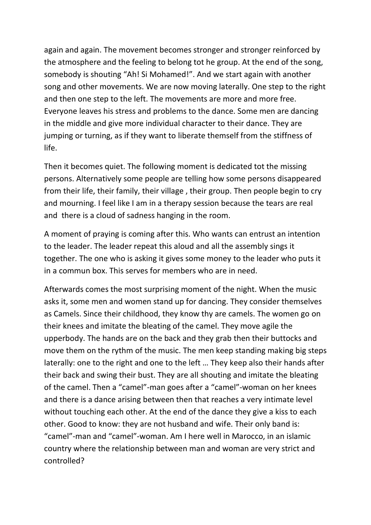again and again. The movement becomes stronger and stronger reinforced by the atmosphere and the feeling to belong tot he group. At the end of the song, somebody is shouting "Ah! Si Mohamed!". And we start again with another song and other movements. We are now moving laterally. One step to the right and then one step to the left. The movements are more and more free. Everyone leaves his stress and problems to the dance. Some men are dancing in the middle and give more individual character to their dance. They are jumping or turning, as if they want to liberate themself from the stiffness of life.

Then it becomes quiet. The following moment is dedicated tot the missing persons. Alternatively some people are telling how some persons disappeared from their life, their family, their village , their group. Then people begin to cry and mourning. I feel like I am in a therapy session because the tears are real and there is a cloud of sadness hanging in the room.

A moment of praying is coming after this. Who wants can entrust an intention to the leader. The leader repeat this aloud and all the assembly sings it together. The one who is asking it gives some money to the leader who puts it in a commun box. This serves for members who are in need.

Afterwards comes the most surprising moment of the night. When the music asks it, some men and women stand up for dancing. They consider themselves as Camels. Since their childhood, they know thy are camels. The women go on their knees and imitate the bleating of the camel. They move agile the upperbody. The hands are on the back and they grab then their buttocks and move them on the rythm of the music. The men keep standing making big steps laterally: one to the right and one to the left … They keep also their hands after their back and swing their bust. They are all shouting and imitate the bleating of the camel. Then a "camel"-man goes after a "camel"-woman on her knees and there is a dance arising between then that reaches a very intimate level without touching each other. At the end of the dance they give a kiss to each other. Good to know: they are not husband and wife. Their only band is: "camel"-man and "camel"-woman. Am I here well in Marocco, in an islamic country where the relationship between man and woman are very strict and controlled?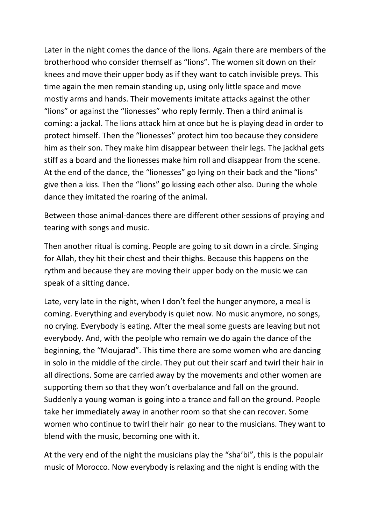Later in the night comes the dance of the lions. Again there are members of the brotherhood who consider themself as "lions". The women sit down on their knees and move their upper body as if they want to catch invisible preys. This time again the men remain standing up, using only little space and move mostly arms and hands. Their movements imitate attacks against the other "lions" or against the "lionesses" who reply fermly. Then a third animal is coming: a jackal. The lions attack him at once but he is playing dead in order to protect himself. Then the "lionesses" protect him too because they considere him as their son. They make him disappear between their legs. The jackhal gets stiff as a board and the lionesses make him roll and disappear from the scene. At the end of the dance, the "lionesses" go lying on their back and the "lions" give then a kiss. Then the "lions" go kissing each other also. During the whole dance they imitated the roaring of the animal.

Between those animal-dances there are different other sessions of praying and tearing with songs and music.

Then another ritual is coming. People are going to sit down in a circle. Singing for Allah, they hit their chest and their thighs. Because this happens on the rythm and because they are moving their upper body on the music we can speak of a sitting dance.

Late, very late in the night, when I don't feel the hunger anymore, a meal is coming. Everything and everybody is quiet now. No music anymore, no songs, no crying. Everybody is eating. After the meal some guests are leaving but not everybody. And, with the peolple who remain we do again the dance of the beginning, the "Moujarad". This time there are some women who are dancing in solo in the middle of the circle. They put out their scarf and twirl their hair in all directions. Some are carried away by the movements and other women are supporting them so that they won't overbalance and fall on the ground. Suddenly a young woman is going into a trance and fall on the ground. People take her immediately away in another room so that she can recover. Some women who continue to twirl their hair go near to the musicians. They want to blend with the music, becoming one with it.

At the very end of the night the musicians play the "sha'bi", this is the populair music of Morocco. Now everybody is relaxing and the night is ending with the